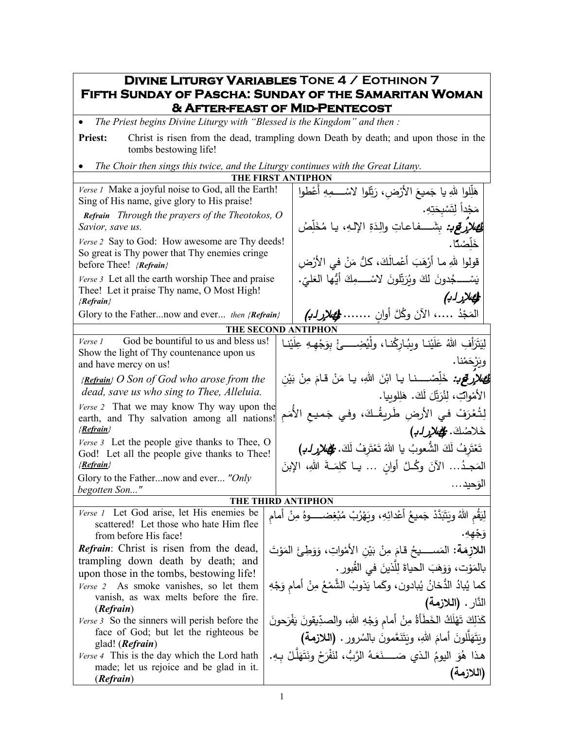## **Divine Liturgy Variables Tone 4 / Eothinon 7 Fifth Sunday of Pascha: Sunday of the Samaritan Woman & After-feast of Mid-Pentecost**

• *The Priest begins Divine Liturgy with "Blessed is the Kingdom" and then :*

**Priest:** Christ is risen from the dead, trampling down Death by death; and upon those in the tombs bestowing life!

• *The Choir then sings this twice, and the Liturgy continues with the Great Litany.*

| THE FIRST ANTIPHON                                                                                                        |                                                                                   |                                                                                                                                    |  |  |  |  |  |
|---------------------------------------------------------------------------------------------------------------------------|-----------------------------------------------------------------------------------|------------------------------------------------------------------------------------------------------------------------------------|--|--|--|--|--|
| Verse 1 Make a joyful noise to God, all the Earth!<br>Sing of His name, give glory to His praise!                         |                                                                                   | هَلِّلوا للهِ يا جَميعَ الأرْضِ، رَبِّلوا لاسْــــمِهِ أَعْطوا                                                                     |  |  |  |  |  |
| Refrain Through the prayers of the Theotokos, O<br>Savior, save us.                                                       |                                                                                   | مَجْداً لِتَسْبِحَتِهِ.<br><b>لِحَصْلاَرِكَ بِ</b> : بِشَـــفاعاتِ والِدَةِ الإلـهِ، يـا مُخَلِّصُ                                 |  |  |  |  |  |
| Verse 2 Say to God: How awesome are Thy deeds!<br>So great is Thy power that Thy enemies cringe<br>before Thee! {Refrain} | خَلَّصْنًا.<br>قولوا للهِ ما أَرْهَبَ أَعْمالَكَ، كلُّ مَنْ في الأَرْضِ           |                                                                                                                                    |  |  |  |  |  |
| Verse 3 Let all the earth worship Thee and praise<br>Thee! Let it praise Thy name, O Most High!<br>${Refrain}$            | يَسْـــــجُدونَ لَكَ ويُرَبِّلونَ لاسْـــــمِكَ أَيُّها العَليِّ.<br>الم الإلزابي |                                                                                                                                    |  |  |  |  |  |
| Glory to the Fathernow and ever then {Refrain}                                                                            |                                                                                   | المَجْدُ …، الآنَ وكُلَّ أوان …… <del>ال</del> ِه <i>الإرابم</i>                                                                   |  |  |  |  |  |
|                                                                                                                           |                                                                                   | THE SECOND ANTIPHON                                                                                                                |  |  |  |  |  |
| God be bountiful to us and bless us!<br>Verse 1<br>Show the light of Thy countenance upon us                              |                                                                                   | لِيَتَرَأْفِ اللهُ عَلَيْنـا وبِبُـارِكْنـا، ولْيُضِـــــئْ بِوَجْهِـهِ عِلَيْنـ                                                   |  |  |  |  |  |
| and have mercy on us!                                                                                                     |                                                                                   | ويَرْحَمْنا.                                                                                                                       |  |  |  |  |  |
| $\{Refrain\}$ O Son of God who arose from the<br>dead, save us who sing to Thee, Alleluia.                                |                                                                                   | <i>لِهِ الإِرْ<b>قِي:</b> خَ</i> لِّصْـــنا يا ابْنَ اللهِ، يا مَنْ قامَ مِنْ بَيْنِ<br>الأَمْوابِّ، لِنُرَتِّلَ لَكَ. هَلِلوبِيا. |  |  |  |  |  |
| Verse 2 That we may know Thy way upon the<br>earth, and Thy salvation among all nations!                                  |                                                                                   | لِتُعْرَفُ في الأرضِ طَرِيقُكَ، وفي جَميع الأُمَمِ                                                                                 |  |  |  |  |  |
| {Refrain}                                                                                                                 |                                                                                   | خَلاصُكَ. <del>وَلِ</del> هَلايِرَ لَهِ)                                                                                           |  |  |  |  |  |
| Verse 3 Let the people give thanks to Thee, O<br>God! Let all the people give thanks to Thee!                             |                                                                                   | تَعْتَرِفُ لَكَ الشُّعوبُ يا اللهُ تَعْتَرِفُ لَكَ. كِلْمُهْلاِرِ لِهِ إ                                                           |  |  |  |  |  |
| {Refrain}                                                                                                                 |                                                                                   | المَجِدُ الآنَ وكُلَّ أُوانٍ  يـا كَلِمَــةَ اللهِ، الإِبنَ                                                                        |  |  |  |  |  |
| Glory to the Fathernow and ever "Only<br>begotten Son"                                                                    |                                                                                   | الوَحيد                                                                                                                            |  |  |  |  |  |
|                                                                                                                           | THE THIRD ANTIPHON                                                                |                                                                                                                                    |  |  |  |  |  |
| Verse 1 Let God arise, let His enemies be                                                                                 |                                                                                   | لِيَقُم اللَّهُ ويَتَبَدَّدُّ جَميعُ أعْدائِهِ، ويَهْرُبْ مُبْغِضـــــوهُ مِنْ أمام                                                |  |  |  |  |  |
| scattered! Let those who hate Him flee<br>from before His face!                                                           |                                                                                   | وَجْهِهِ.                                                                                                                          |  |  |  |  |  |
| Refrain: Christ is risen from the dead,                                                                                   |                                                                                   | اللازِمَة: المَســــيحُ قامَ مِنْ بَيْنِ الأَمْواتِ، وَوَطِئَ المَوْتَ                                                             |  |  |  |  |  |
| trampling down death by death; and                                                                                        |                                                                                   | بالمَوْت، وَوَهَبَ الحياةَ لِلَّذينَ في القُبورِ .                                                                                 |  |  |  |  |  |
| upon those in the tombs, bestowing life!<br>Verse 2 As smoke vanishes, so let them                                        |                                                                                   | كما يُبادُ الدُّخانُ يُبادون، وكَما يَذوبُ الشَّمْعُ مِنْ أمامِ وَجْهِ                                                             |  |  |  |  |  |
| vanish, as wax melts before the fire.                                                                                     |                                                                                   |                                                                                                                                    |  |  |  |  |  |
| (Refrain)                                                                                                                 |                                                                                   | النَّارِ . (اللازمة)                                                                                                               |  |  |  |  |  |
| <i>Verse</i> 3 So the sinners will perish before the<br>face of God; but let the righteous be                             |                                                                                   | كَذلِكَ تَهْلَكُ الخَطَأَةُ مِنْ أمام وَجْهِ اللهِ، والصدِّيقونَ يَفْرَحونَ                                                        |  |  |  |  |  |
| glad! ( <i>Refrain</i> )                                                                                                  |                                                                                   | ويَتَهَلَّلُونَ أَمامَ اللهِ، ويَتَنَعَّمونَ بالسُرورِ . (اللازمة)                                                                 |  |  |  |  |  |
| Verse 4 This is the day which the Lord hath                                                                               |                                                                                   | هذا هُوَ اليومُ الذي صَـــــنَعَـهُ الرَّبُّ، لنَفْرَحْ ونَتَهَلَّـلْ بِـهِ.                                                       |  |  |  |  |  |
| made; let us rejoice and be glad in it.<br>(Refrain)                                                                      |                                                                                   | (اللازمة)                                                                                                                          |  |  |  |  |  |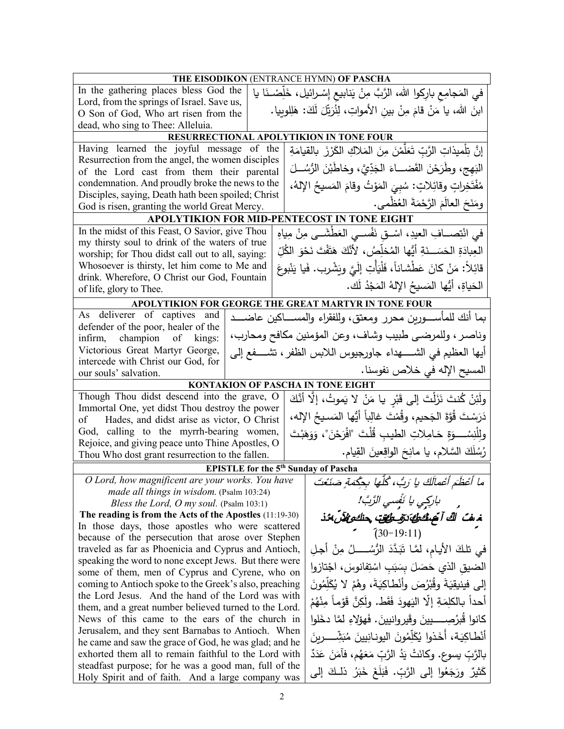| THE EISODIKON (ENTRANCE HYMN) OF PASCHA                                                                                 |  |                                                                             |                                                                                                                                      |  |  |  |
|-------------------------------------------------------------------------------------------------------------------------|--|-----------------------------------------------------------------------------|--------------------------------------------------------------------------------------------------------------------------------------|--|--|--|
| In the gathering places bless God the                                                                                   |  |                                                                             |                                                                                                                                      |  |  |  |
| Lord, from the springs of Israel. Save us,                                                                              |  | في المَجامِع بارِكوا الله، الرَّبَّ مِنْ يَنابيع إِسْـرائيل، خَلِّصْـنَا يا |                                                                                                                                      |  |  |  |
| O Son of God, Who art risen from the                                                                                    |  |                                                                             | ابنَ الله، يا مَنْ قامَ مِنْ بينِ الأمواتِ، لِنُرَتِّلَ لَكَ: هَلِلوبِيا.                                                            |  |  |  |
| dead, who sing to Thee: Alleluia.                                                                                       |  |                                                                             |                                                                                                                                      |  |  |  |
|                                                                                                                         |  |                                                                             | RESURRECTIONAL APOLYTIKION IN TONE FOUR                                                                                              |  |  |  |
| Having learned the joyful message of the                                                                                |  |                                                                             | إِنَّ تِلْمِيذَاتِ الرَّبِّ تَعَلَّمْنَ مِنَ المَلاكِ الكَرْزَ بِالقيامَةِ                                                           |  |  |  |
| Resurrection from the angel, the women disciples                                                                        |  |                                                                             |                                                                                                                                      |  |  |  |
| of the Lord cast from them their parental                                                                               |  |                                                                             | البَهج، وطَرَحْنَ القَضـــاءَ الجَدِّيَّ، وخاطَبْنَ الرُّسُــلَ                                                                      |  |  |  |
| condemnation. And proudly broke the news to the                                                                         |  |                                                                             | مُفْتَخِراتٍ وقائِلاتٍ: سُبِيَ المَوْتُ وقامَ المَسيحُ الإِلهُ،                                                                      |  |  |  |
| Disciples, saying, Death hath been spoiled; Christ                                                                      |  |                                                                             | ومَنَحَ العالَمَ الرَّحْمَةَ العُظْمي.                                                                                               |  |  |  |
| God is risen, granting the world Great Mercy.                                                                           |  |                                                                             |                                                                                                                                      |  |  |  |
|                                                                                                                         |  |                                                                             | <b>APOLYTIKION FOR MID-PENTECOST IN TONE EIGHT</b>                                                                                   |  |  |  |
| In the midst of this Feast, O Savior, give Thou                                                                         |  |                                                                             | في انْتِصــافِ العيدِ، اسْــق نَفْســي العَطْشَــي مِنْ مِياهِ                                                                       |  |  |  |
| my thirsty soul to drink of the waters of true                                                                          |  |                                                                             | العِبادَةِ الحَسَــذَةِ أَيُّها المُخلِّصُ، لأَنَّكَ هَتَفْتَ نَحْوَ الكُلِّ                                                         |  |  |  |
| worship; for Thou didst call out to all, saying:                                                                        |  |                                                                             |                                                                                                                                      |  |  |  |
| Whosoever is thirsty, let him come to Me and                                                                            |  |                                                                             | قائِلاً: مَنْ كانَ عَطْشاناً، فَلْيَأْتِ إِلَيَّ وِيَشْرِب. فَيا يَنْبوعَ                                                            |  |  |  |
| drink. Wherefore, O Christ our God, Fountain                                                                            |  |                                                                             | الحَياةِ، أَيُّها المَسيحُ الإِلهُ المَجْدُ لَك.                                                                                     |  |  |  |
| of life, glory to Thee.                                                                                                 |  |                                                                             |                                                                                                                                      |  |  |  |
|                                                                                                                         |  |                                                                             | APOLYTIKION FOR GEORGE THE GREAT MARTYR IN TONE FOUR                                                                                 |  |  |  |
| As deliverer of captives and                                                                                            |  |                                                                             | بما أنك للمأســــورين محرر ومعتق، وللفقراء والمســــاكين عاضــــد                                                                    |  |  |  |
| defender of the poor, healer of the<br>infirm, champion of kings:                                                       |  |                                                                             | وناصر ، وللمرضى طبيب وشاف، وعن المؤمنين مكافح ومحارب،                                                                                |  |  |  |
| Victorious Great Martyr George,                                                                                         |  |                                                                             |                                                                                                                                      |  |  |  |
| intercede with Christ our God, for                                                                                      |  |                                                                             | أيها العظيم في الشـــــهداء جاورجيوس اللابس الظفر ، تشــــفع إلى                                                                     |  |  |  |
| our souls' salvation.                                                                                                   |  |                                                                             | المسيح الإله في خلاص نفوسنا.                                                                                                         |  |  |  |
| KONTAKION OF PASCHA IN TONE EIGHT                                                                                       |  |                                                                             |                                                                                                                                      |  |  |  |
| Though Thou didst descend into the grave, O                                                                             |  |                                                                             |                                                                                                                                      |  |  |  |
| ولَئِنْ كُنتَ نَزَلْتَ إِلَى قَبْرٍ يا مَنْ لا يَموتُ، إِلَّا أَنَّكَ<br>Immortal One, yet didst Thou destroy the power |  |                                                                             |                                                                                                                                      |  |  |  |
| Hades, and didst arise as victor, O Christ<br>of                                                                        |  |                                                                             | دَرَسْتَ قُوَّةَ الجَحيمِ، وقُمْتَ غالِباً أيُّها المَسيحُ الإله،                                                                    |  |  |  |
| God, calling to the myrrh-bearing women,                                                                                |  |                                                                             | ولِلْنِسْــــوَةِ حَـامِـلاتِ الطيبِ قُلْتَ "افْرَحْنَ"، وَوَهَبْتَ                                                                  |  |  |  |
| Rejoice, and giving peace unto Thine Apostles, O                                                                        |  |                                                                             |                                                                                                                                      |  |  |  |
| Thou Who dost grant resurrection to the fallen.                                                                         |  |                                                                             | رُسُلَكَ السَّلامِ، يا مانِحَ الواقِعينَ القِيامِ.                                                                                   |  |  |  |
| <b>EPISTLE</b> for the 5 <sup>th</sup> Sunday of Pascha                                                                 |  |                                                                             |                                                                                                                                      |  |  |  |
| O Lord, how magnificent are your works. You have                                                                        |  |                                                                             | ما أَعْظَمَ أَعْمالَكَ يا رَبُّ، كُلُّها بِجُكِمَةٍ صَنَعْتَ                                                                         |  |  |  |
| <i>made all things in wisdom.</i> (Psalm 103:24)                                                                        |  |                                                                             |                                                                                                                                      |  |  |  |
| <i>Bless the Lord, O my soul.</i> (Psalm 103:1)                                                                         |  |                                                                             | باركِي يا نَفْسي الرَّبَّ!                                                                                                           |  |  |  |
| The reading is from the Acts of the Apostles (11:19-30)                                                                 |  |                                                                             | مَد <i>ْفَ الْفَ أَجْمِنْكُ ثَلِيَ تَوْقِيْتِ جِ</i> ن <i>كُ ثَلُالٌ الَذ</i> َذ                                                     |  |  |  |
| In those days, those apostles who were scattered                                                                        |  |                                                                             | $(30-19:11)$                                                                                                                         |  |  |  |
| because of the persecution that arose over Stephen                                                                      |  |                                                                             |                                                                                                                                      |  |  |  |
| traveled as far as Phoenicia and Cyprus and Antioch,                                                                    |  |                                                                             | في تلكَ الأيام، لمَّا تَبَدَّدَ الرُّسُـــــلُ مِنْ أَجلِ                                                                            |  |  |  |
| speaking the word to none except Jews. But there were                                                                   |  |                                                                             |                                                                                                                                      |  |  |  |
| some of them, men of Cyprus and Cyrene, who on                                                                          |  |                                                                             |                                                                                                                                      |  |  |  |
|                                                                                                                         |  |                                                                             | الضيق الذي حَصَلَ بِسَبَبِ اسْتِفانوسَ، اجْتازوا                                                                                     |  |  |  |
| coming to Antioch spoke to the Greek's also, preaching                                                                  |  |                                                                             | إِلَى فِينِيقِيَةَ وِقُبْرُصَ وأَنْطَاكِيَةَ، وِهُمْ لا يُكَلِّمُونَ                                                                 |  |  |  |
| the Lord Jesus. And the hand of the Lord was with                                                                       |  |                                                                             | أَحداً بِالكلِمَةِ إِلَّا اليَهودَ فَقَط. ولَكِنَّ قَوْماً مِنْهُمْ                                                                  |  |  |  |
| them, and a great number believed turned to the Lord.                                                                   |  |                                                                             |                                                                                                                                      |  |  |  |
| News of this came to the ears of the church in                                                                          |  |                                                                             | كانوا قُبرُصِــــــيينَ وقَيروانيينَ. فَهؤلاءِ لمَّا دخَلوا                                                                          |  |  |  |
| Jerusalem, and they sent Barnabas to Antioch. When                                                                      |  |                                                                             | أَنْطَاكِيَة، أَخَذُوا يُكَلِّمُونَ اليونـانِيينَ مُبَشِّــــربنَ                                                                    |  |  |  |
| he came and saw the grace of God, he was glad; and he<br>exhorted them all to remain faithful to the Lord with          |  |                                                                             |                                                                                                                                      |  |  |  |
| steadfast purpose; for he was a good man, full of the                                                                   |  |                                                                             | بالرَّبّ يسوع. وكانَتْ يَدُ الرَّبّ مَعَهُم، فآمَنَ عَدَدٌ<br>كَثْيِرٌ ۚ ورَجَعُوا إِلَى الرَّبِّ . فَبَلَغَ خَبَرُ ۚ ذَلَكَ ۚ إِلَى |  |  |  |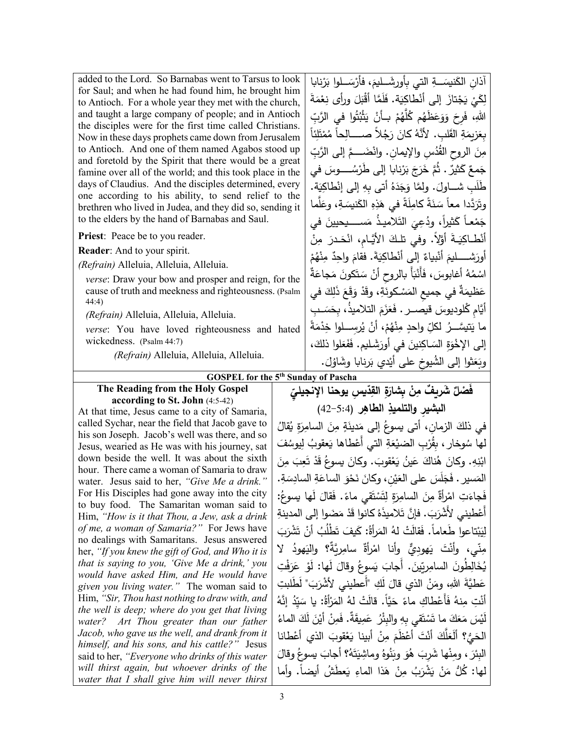| added to the Lord. So Barnabas went to Tarsus to look<br>for Saul; and when he had found him, he brought him<br>to Antioch. For a whole year they met with the church,<br>and taught a large company of people; and in Antioch<br>the disciples were for the first time called Christians.<br>Now in these days prophets came down from Jerusalem<br>to Antioch. And one of them named Agabos stood up<br>and foretold by the Spirit that there would be a great<br>famine over all of the world; and this took place in the<br>days of Claudius. And the disciples determined, every<br>one according to his ability, to send relief to the<br>brethren who lived in Judea, and they did so, sending it<br>to the elders by the hand of Barnabas and Saul. | آذان الكَنيسَـــةِ التــى بِأورشَـــليمَ، فأرْسَـــلوا بَرْنابا<br>لِكَيْ يَجْتازَ إِلَى أَنْطَاكِيَة. فَلَمَّا أَقْبَلَ وِرِأَى نِعْمَةَ<br>اللهِ، فَرحَ وَوَعَظَهُم كُلَّهُمْ بِـأَنْ يَثْبُثُوا في الرَّبِّ<br>بعَزِيمَةِ القَلبِ. لأَنَّهُ كانَ رَجُلاً صـــــالِحاً مُمْتَلِئاً<br>مِنَ الروحِ القُدُسِ والإيمانِ. وانْضَـــمَّ إلى الرَّبِّ<br>جَمعٌ كَثيرٌ . ثُمَّ خَرَجَ بَرْنابا إِلى طَرْسُـــــوسَ في<br>طَلَبٍ شـــاولَ. ولمَّا وَجَدَهُ أَتـى بِهِ إلـى إنْطاكِيَة.<br>وتَرَدَّدا معاً سَنَةً كامِلَةً في هَذِهِ الكَنيسَةِ، وعَلَّما<br>جَمْعـاً كَثيراً، ودُعِيَ التَلاميـذُ مَســــيحيينَ في |                                                                                                                                           |
|-------------------------------------------------------------------------------------------------------------------------------------------------------------------------------------------------------------------------------------------------------------------------------------------------------------------------------------------------------------------------------------------------------------------------------------------------------------------------------------------------------------------------------------------------------------------------------------------------------------------------------------------------------------------------------------------------------------------------------------------------------------|--------------------------------------------------------------------------------------------------------------------------------------------------------------------------------------------------------------------------------------------------------------------------------------------------------------------------------------------------------------------------------------------------------------------------------------------------------------------------------------------------------------------------------------------------------------------------------------------------------------|-------------------------------------------------------------------------------------------------------------------------------------------|
| <b>Priest:</b> Peace be to you reader.                                                                                                                                                                                                                                                                                                                                                                                                                                                                                                                                                                                                                                                                                                                      |                                                                                                                                                                                                                                                                                                                                                                                                                                                                                                                                                                                                              | أَنْطَـاكِيَـةَ أَوَّلاً. وفي تلـكَ الأيَّـام، انْحَـدرَ مِنْ                                                                             |
| <b>Reader:</b> And to your spirit.                                                                                                                                                                                                                                                                                                                                                                                                                                                                                                                                                                                                                                                                                                                          |                                                                                                                                                                                                                                                                                                                                                                                                                                                                                                                                                                                                              | أُورَشَّــــليمَ أَنْبِياءٌ إِلَى أَنْطَاكِيَةَ. فقامَ واحِدٌ مِنْهُمْ                                                                    |
| (Refrain) Alleluia, Alleluia, Alleluia.                                                                                                                                                                                                                                                                                                                                                                                                                                                                                                                                                                                                                                                                                                                     |                                                                                                                                                                                                                                                                                                                                                                                                                                                                                                                                                                                                              |                                                                                                                                           |
| verse: Draw your bow and prosper and reign, for the                                                                                                                                                                                                                                                                                                                                                                                                                                                                                                                                                                                                                                                                                                         |                                                                                                                                                                                                                                                                                                                                                                                                                                                                                                                                                                                                              | اسْمُهُ أغابوسَ، فَأَنْبَأَ بالروحِ أنْ سَتَكونَ مَجاعَةٌ                                                                                 |
| cause of truth and meekness and righteousness. (Psalm                                                                                                                                                                                                                                                                                                                                                                                                                                                                                                                                                                                                                                                                                                       |                                                                                                                                                                                                                                                                                                                                                                                                                                                                                                                                                                                                              | عَظيمَةً في جميع المَسْكونَةِ، وقَدْ وَقَعَ ذَلِكَ في                                                                                     |
| (Refrain) Alleluia, Alleluia, Alleluia.                                                                                                                                                                                                                                                                                                                                                                                                                                                                                                                                                                                                                                                                                                                     | 44:4)                                                                                                                                                                                                                                                                                                                                                                                                                                                                                                                                                                                                        |                                                                                                                                           |
| verse: You have loved righteousness and hated                                                                                                                                                                                                                                                                                                                                                                                                                                                                                                                                                                                                                                                                                                               |                                                                                                                                                                                                                                                                                                                                                                                                                                                                                                                                                                                                              | ما يَتيسَّــرُ لكلِّ واحدٍ مِنْهُمْ، أَنْ يُرسِـــلوا خِدْمَةً                                                                            |
| wickedness. (Psalm 44:7)                                                                                                                                                                                                                                                                                                                                                                                                                                                                                                                                                                                                                                                                                                                                    |                                                                                                                                                                                                                                                                                                                                                                                                                                                                                                                                                                                                              | إِلَى الإِخْوَةِ السَـاكِنينَ في أُورَشَـليم. فَفَعَلوا ذلكَ،                                                                             |
| (Refrain) Alleluia, Alleluia, Alleluia.                                                                                                                                                                                                                                                                                                                                                                                                                                                                                                                                                                                                                                                                                                                     |                                                                                                                                                                                                                                                                                                                                                                                                                                                                                                                                                                                                              | وبَعَثوا إلى الشُيوخ على أَيْدي بَرنابا وشَاوُلَ.                                                                                         |
|                                                                                                                                                                                                                                                                                                                                                                                                                                                                                                                                                                                                                                                                                                                                                             |                                                                                                                                                                                                                                                                                                                                                                                                                                                                                                                                                                                                              |                                                                                                                                           |
| <b>GOSPEL</b> for the 5 <sup>th</sup> Sunday of Pascha                                                                                                                                                                                                                                                                                                                                                                                                                                                                                                                                                                                                                                                                                                      |                                                                                                                                                                                                                                                                                                                                                                                                                                                                                                                                                                                                              |                                                                                                                                           |
| The Reading from the Holy Gospel                                                                                                                                                                                                                                                                                                                                                                                                                                                                                                                                                                                                                                                                                                                            |                                                                                                                                                                                                                                                                                                                                                                                                                                                                                                                                                                                                              |                                                                                                                                           |
| according to St. John (4:5-42)                                                                                                                                                                                                                                                                                                                                                                                                                                                                                                                                                                                                                                                                                                                              |                                                                                                                                                                                                                                                                                                                                                                                                                                                                                                                                                                                                              | فَصْلٌ شَريفٌ مِنْ بِشارَةِ القِدّيسِ يوحنا الإنجيليّ                                                                                     |
| At that time, Jesus came to a city of Samaria,                                                                                                                                                                                                                                                                                                                                                                                                                                                                                                                                                                                                                                                                                                              |                                                                                                                                                                                                                                                                                                                                                                                                                                                                                                                                                                                                              | البشير والتلميذِ الطاهِرِ (5:4-42)                                                                                                        |
| called Sychar, near the field that Jacob gave to                                                                                                                                                                                                                                                                                                                                                                                                                                                                                                                                                                                                                                                                                                            |                                                                                                                                                                                                                                                                                                                                                                                                                                                                                                                                                                                                              | في ذلكَ الزمانِ، أتي يسوعُ إلى مَدينَةٍ مِنَ السامِرَةِ يُقالُ                                                                            |
| his son Joseph. Jacob's well was there, and so<br>Jesus, wearied as He was with his journey, sat                                                                                                                                                                                                                                                                                                                                                                                                                                                                                                                                                                                                                                                            |                                                                                                                                                                                                                                                                                                                                                                                                                                                                                                                                                                                                              | لها سُوخار ، بقُرْبِ الضيْعَةِ التي أَعْطَاها يَعقوبُ لِيوسُفَ                                                                            |
| down beside the well. It was about the sixth                                                                                                                                                                                                                                                                                                                                                                                                                                                                                                                                                                                                                                                                                                                |                                                                                                                                                                                                                                                                                                                                                                                                                                                                                                                                                                                                              |                                                                                                                                           |
| hour. There came a woman of Samaria to draw                                                                                                                                                                                                                                                                                                                                                                                                                                                                                                                                                                                                                                                                                                                 |                                                                                                                                                                                                                                                                                                                                                                                                                                                                                                                                                                                                              | ابْذِهِ. وكانَ هُناكَ عَينُ يَعْقوبَ. وكانَ يسوعُ قَدْ تَعِبَ مِنَ                                                                        |
| water. Jesus said to her, "Give Me a drink."                                                                                                                                                                                                                                                                                                                                                                                                                                                                                                                                                                                                                                                                                                                |                                                                                                                                                                                                                                                                                                                                                                                                                                                                                                                                                                                                              | المَسيرِ . فَجَلَسَ على العَيْنِ، وكانَ نَحْوَ الساعَةِ السادِسَةِ.                                                                       |
| For His Disciples had gone away into the city                                                                                                                                                                                                                                                                                                                                                                                                                                                                                                                                                                                                                                                                                                               |                                                                                                                                                                                                                                                                                                                                                                                                                                                                                                                                                                                                              | فَجاءَتِ امْرِأَةٌ مِنَ السامِرَةِ لِتَسْتَقي ماءً. فَقالَ لَها يسوعُ:                                                                    |
| to buy food. The Samaritan woman said to                                                                                                                                                                                                                                                                                                                                                                                                                                                                                                                                                                                                                                                                                                                    |                                                                                                                                                                                                                                                                                                                                                                                                                                                                                                                                                                                                              | أَعْطيني لأَشْرَبَ. فإنَّ تَلاميذَهُ كانوا قَدْ مَضَوا إلى المدينةِ                                                                       |
| Him, "How is it that Thou, a Jew, ask a drink<br>of me, a woman of Samaria?" For Jews have                                                                                                                                                                                                                                                                                                                                                                                                                                                                                                                                                                                                                                                                  |                                                                                                                                                                                                                                                                                                                                                                                                                                                                                                                                                                                                              |                                                                                                                                           |
| no dealings with Samaritans. Jesus answered                                                                                                                                                                                                                                                                                                                                                                                                                                                                                                                                                                                                                                                                                                                 |                                                                                                                                                                                                                                                                                                                                                                                                                                                                                                                                                                                                              | لِيَبْتاعوا طَعاماً. فَقالَتْ لهُ المَرأَةُ: كَيفَ تَطْلُبُ أَنْ تَشْرَبَ                                                                 |
| her, "If you knew the gift of God, and Who it is                                                                                                                                                                                                                                                                                                                                                                                                                                                                                                                                                                                                                                                                                                            |                                                                                                                                                                                                                                                                                                                                                                                                                                                                                                                                                                                                              | مِنِّي، وأَنْتَ يَهوديٌّ وأنا امْرأَةٌ سامِريَّةٌ؟ واليَهودُ لا                                                                           |
| that is saying to you, 'Give Me a drink,' you                                                                                                                                                                                                                                                                                                                                                                                                                                                                                                                                                                                                                                                                                                               |                                                                                                                                                                                                                                                                                                                                                                                                                                                                                                                                                                                                              | يُخَالِطُونَ السامِرِيِّينَ. أجابَ يَسوعُ وقالَ لَها: لَوْ عَرَفْتِ                                                                       |
| would have asked Him, and He would have                                                                                                                                                                                                                                                                                                                                                                                                                                                                                                                                                                                                                                                                                                                     |                                                                                                                                                                                                                                                                                                                                                                                                                                                                                                                                                                                                              | عَطيَّةَ اللهِ، ومَنْ الذي قالَ لَكِ "أعطيني لأشْرَبَ" لَطَلبتِ                                                                           |
| given you living water." The woman said to<br>Him, "Sir, Thou hast nothing to draw with, and                                                                                                                                                                                                                                                                                                                                                                                                                                                                                                                                                                                                                                                                |                                                                                                                                                                                                                                                                                                                                                                                                                                                                                                                                                                                                              |                                                                                                                                           |
| the well is deep; where do you get that living                                                                                                                                                                                                                                                                                                                                                                                                                                                                                                                                                                                                                                                                                                              |                                                                                                                                                                                                                                                                                                                                                                                                                                                                                                                                                                                                              | أَنْتِ مِنهُ فَأَعْطَاكِ ماءً حَيَّاً. قالَتْ لهُ المَرْأَةُ: يا سَيّدُ إِنَّهُ                                                           |
| water? Art Thou greater than our father<br>Jacob, who gave us the well, and drank from it                                                                                                                                                                                                                                                                                                                                                                                                                                                                                                                                                                                                                                                                   |                                                                                                                                                                                                                                                                                                                                                                                                                                                                                                                                                                                                              | لَيْسَ مَعَكَ ما تَسْتَقى بِهِ والبِئْرُ ۖ عَمِيقَةٌ. فَمِنْ أَيْنَ لَكَ الماءُ                                                           |
| himself, and his sons, and his cattle?" Jesus                                                                                                                                                                                                                                                                                                                                                                                                                                                                                                                                                                                                                                                                                                               |                                                                                                                                                                                                                                                                                                                                                                                                                                                                                                                                                                                                              | الحَيُّ؟ أَلَعَلَّكَ أَنْتَ أَعْظَمَ مِنْ أَبِينا يَعْقوبَ الذي أَعْطانا                                                                  |
| said to her, "Everyone who drinks of this water<br>will thirst again, but whoever drinks of the                                                                                                                                                                                                                                                                                                                                                                                                                                                                                                                                                                                                                                                             |                                                                                                                                                                                                                                                                                                                                                                                                                                                                                                                                                                                                              | الْبِئَرَ ، ومِنْها شَرِبَ هُوَ وبَنُوهُ وماشِيَتَهُ؟ أَجابَ يسوعُ وقالَ<br>لها: كُلُّ مَنْ يَشْرَبُ مِنْ هَذا الماءِ يَعطَشُ أيضاً. وأما |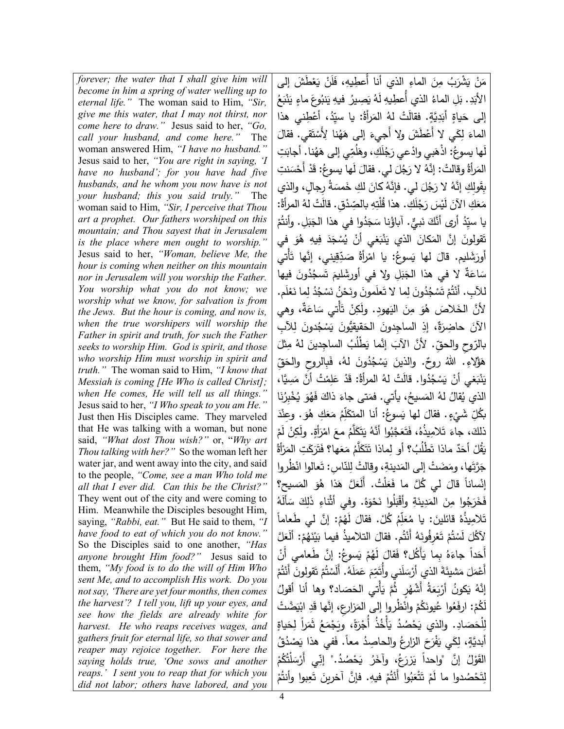*forever; the water that I shall give him will become in him a spring of water welling up to eternal life."* The woman said to Him, *"Sir, give me this water, that I may not thirst, nor come here to draw."* Jesus said to her, *"Go, call your husband, and come here."* The woman answered Him, *"I have no husband."* Jesus said to her, *"You are right in saying, 'I have no husband'; for you have had five husbands, and he whom you now have is not your husband; this you said truly."* The woman said to Him, *"Sir, I perceive that Thou art a prophet. Our fathers worshiped on this mountain; and Thou sayest that in Jerusalem is the place where men ought to worship."* Jesus said to her, *"Woman, believe Me, the hour is coming when neither on this mountain nor in Jerusalem will you worship the Father. You worship what you do not know; we worship what we know, for salvation is from the Jews. But the hour is coming, and now is, when the true worshipers will worship the Father in spirit and truth, for such the Father seeks to worship Him. God is spirit, and those who worship Him must worship in spirit and truth."* The woman said to Him, *"I know that Messiah is coming [He Who is called Christ]; when He comes, He will tell us all things."* Jesus said to her, *"I Who speak to you am He."* Just then His Disciples came. They marveled that He was talking with a woman, but none said, *"What dost Thou wish?"* or, "*Why art Thou talking with her?"* So the woman left her water jar, and went away into the city, and said to the people, *"Come, see a man Who told me all that I ever did. Can this be the Christ?"* They went out of the city and were coming to Him. Meanwhile the Disciples besought Him, saying, *"Rabbi, eat."* But He said to them, *"I have food to eat of which you do not know."* So the Disciples said to one another, *"Has anyone brought Him food?"* Jesus said to them, *"My food is to do the will of Him Who sent Me, and to accomplish His work. Do you not say, 'There are yet four months, then comes the harvest'? I tell you, lift up your eyes, and see how the fields are already white for harvest. He who reaps receives wages, and gathers fruit for eternal life, so that sower and reaper may rejoice together. For here the saying holds true, 'One sows and another reaps.' I sent you to reap that for which you did not labor; others have labored, and you* 

٠, مَنْ يَشْرَبُ مِنَ الماءِ الذي أنا أُعطِيهِ، فَلَنْ يَعْطَشَ إلى الأَبَدِ. بَلِ الماءُ الذي أُعطِيهِ لَهُ يَصِيرُ فيهِ يَنبُوعَ ماءٍ يَنْبَعُ<br>. إلى حَياةٍ أَبَدِيَّةٍ. فقالَتْ لهُ المَرأةُ: يا سيِّدُ، أَعْطِني هذا<br>. ْ الماءَ لِكَي لا أَعْطَشَ ولا أَجيءَ إلى هَهُنا لِأَسْتَقي. فقالَ<br>ِ لَها يسوعُ: اذْهَبي وادْعي رَجُلَكِ، وهَلُمِّي إلى هَهُنا. أجابَتِ<br>أ المَرأةُ وقالتْ: إنَّهُ لا رَجُلَ لي. فقالَ لَها يسوعُ: قَدْ أَحْسَنتِ<br>ِ َ لي ُل َج ُ لا ر ُ ِ�ق . ِ ر ٍجال، والذي َ ِول ِك َّ إنه َة َمس َ ِ لك خ ُ �ان َّ فإنه ِ ِه ُْلت َ ِك. هذا ق ل ُ َج ْ َس ر �َ َ ل ِك الآن ْ <sup>م</sup> ِق َع �الصِ د ّ : . ُ ُ المرأة َ ْت له قال َ يا سيِّدُ أرى أَنَّكَ نَبيٍّ. آباؤُنا سَجَدُوا في هذا الجَبَلِ. وأَنتُمْ<br>ِ تَقولونَ إنَّ المَكانَ الذي يَنْبَغي أنْ يُسْجَدَ فِيهِ هُوَ في<br>ويحتفظ أورَشَليم. قالَ لها يَسوعُ: يا امْرأةُ صَدِّقِيني، إنَّها تَأْتي سَاعَةٌ لا في هذا الْجَبَلِ ولا في أورشَليمَ تَسجُدُونَ فيها<br>محّد أنهُ منذ اللّغاء اللّغاء اللّغاء اللّغاء اللّغاء اللّغاء اللّغاء اللّغاء اللّغاء اللّغاء اللّغاء اللّغاء للآبِ. أَنْتُمْ تَسْجُدُونَ لِما لا تَعلَمونَ ونَحْنُ نَسْجُدُ لِما نَعْلَم.<br>أَيَ ْ لأنَّ الخَلاصَ هُوَ مِنَ اليَهودِ. ولَكِنْ تَأْتي سَاعَةٌ، وهي الآنَ حاضِرَةٌ، إذِ الساجِدونَ الحَقيقيُّونَ يَسْجُدونَ لِلآبِ<br>-بالرّوحِ والحقِّ. لأنَّ الآبَ إنَّما يَطْلُبُ الساجِدينَ لهُ مِثلَ هَؤُلاءِ . اللهُ روحٌ. والذينَ يَسْجُدُونَ لهُ، فَبِالروحِ والحَقِّ<br>. يَنْبَغي أَنْ يَسْجُدُوا. قالَتْ لهُ المرأةُ: قَدْ عَلِمْتُ أَنَّ مَسِيًّا، َ الذي يُقالُ لهُ المَسيحُ، يأتي. فمَتى جاءَ ذاكَ فَهُوَ يُخْبِرُنَا<br>مُستقدِّبه بكُلِّ شَيْءٍ. فقالَ لها يَسوعُ: أنا المتكَلِّمُ مَعَكِ هُوَ. وعِنْدَ<br>نند م<br>أ ذلكَ، جاءَ تَلامِيذُهُ، فَتَعَجَّبُوا أَنَّهُ يَتَكَلَّمُ معَ امْرَأَةٍ. ولَكِنْ لَمْ<br>وفي المساحد المسلم يَقُلْ أحَدٌ ماذا تَطْلُبُ؟ أو لِماذا تَتَكَلَّمُ مَعَها؟ فَتَرَكَتِ المَرْأَةُ<br>مَثَلِّفٌ الْمَرَّامُ <u>َ</u> جَرَّتَها، ومَضَتْ إلى المَدينةِ، وقالتْ لِلنّاسِ: تَعالوا انْظُروا<br>. إِنْساناً قالَ لمي كُلَّ ما فَعَلْتُ. أَلْعَلَّ هَذَا هُوَ الْمَسيح؟<br>مرضي الله على الله عنه الله عنه الله عنه الله عنه الله عنه الله عنه الله عنه الله عنه الله عنه الله عنه الله ع فَخَرَجُوا مِنَ المَدِينَةِ وأقْبَلُوا نَحْوَهُ. وفي أَثْناءِ ذَلِكَ سَأَلَهُ .<br>-تَلامِيذُهُ قائلينَ: يا مُعَلِّمُ كُلْ. فقالَ لَهُمْ: إنَّ لي طَعاماً<br>حَكَّ أَمُّكَ أَمَّا اللَّهُ مَنْ اللَّهُ مِنْ اللَّهُ مِنْ اللَّهُ مِنْ اللَّهُ عَنِّ لآكُلَ لَمُنتُمْ تَعْرِفُونَهُ أَنْتُم. فقالَ التلاميذُ فيما بَيْنَهُمْ: أَلَعَلَّ<br>أ ْ **ٔ** <u>:</u> أَحَداً جاءَهُ بِما يَأْكُل؟ فَقالَ لَهُمْ يَسوعُ: إِنَّ طَعامي أَنْ<br>أَحداً جاءَهُ بِما يَأْكُل؟ فَقَالَ لَهُمْ يَسوعُ: **ء**<br>ا بِّمَ عَمَلهُ<br>م أَعْمَلَ مَشيئَةَ الذي أَرْسَلَني وأَتَمِّعَ عَمَلَهُ. أَلَسْتُمْ تَقولونَ أَنْتُمْ<br>مَسْتَسْتَنْفُسْتَهُمْ وَأَرْسَلَني الْمُتَمَّمَ عَمَلَهُ. أَلَسْتُمْ تَقولونَ أَنْتُمْ إِنَّهُ يَكونُ أَرْبَعَةَ أَشْهُرٍ ثُمَّ يَأْتي الحَصَاد؟ وها أنا أقولُ<br>مَا .<br>. لَّكُمْ: ارفَعُوا عُيونَكُمْ وانْظُروا إِلى المَزارعِ، إنَّها قَدِ ابْيَضَّتْ<br>\* ْ لِلْحَصَادِ. والذي يَحْصُدُ يَأْخُذُ أُجْرَةَ، وِيَجْمَعُ ثَمَراً لِحَياةٍ<br>والشيخ أَبديَّةٍ، لِكَي يَفْرَحَ الزارعُ والحاصِدُ معاً. فَفي هذا يَصْدُقُ<br>. القَوْلُ إنَّ "واحداً يَزرَعُ، وآخَرُ يَحْصُدُ." إنِّي أَرْسَلْتُكُمْ<br>. ْ لِتَحْصُدوا ما لَمْ تَتْعَبُوا أَنْتُمْ فيهِ. فإنَّ آخرينَ تَعِبوا وأنتُمْ